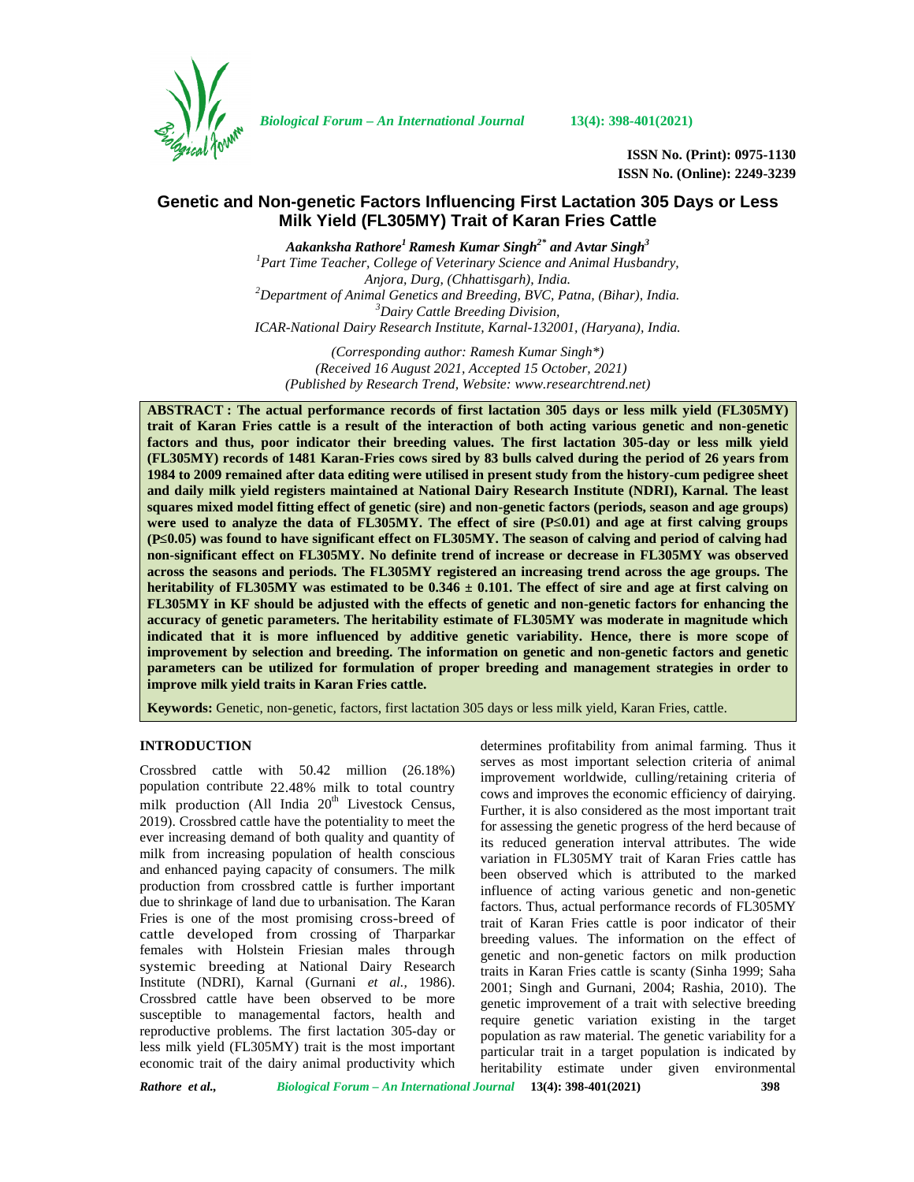

*Biological Forum – An International Journal* **13(4): 398-401(2021)**

**ISSN No. (Print): 0975-1130 ISSN No. (Online): 2249-3239**

# **Genetic and Non-genetic Factors Influencing First Lactation 305 Days or Less Milk Yield (FL305MY) Trait of Karan Fries Cattle**

*Aakanksha Rathore<sup>1</sup> Ramesh Kumar Singh2\* and Avtar Singh<sup>3</sup> <sup>1</sup>Part Time Teacher, College of Veterinary Science and Animal Husbandry, Anjora, Durg, (Chhattisgarh), India. <sup>2</sup>Department of Animal Genetics and Breeding, BVC, Patna, (Bihar), India. <sup>3</sup>Dairy Cattle Breeding Division, ICAR-National Dairy Research Institute, Karnal-132001, (Haryana), India.*

*(Corresponding author: Ramesh Kumar Singh\*) (Received 16 August 2021, Accepted 15 October, 2021) (Published by Research Trend, Website: [www.researchtrend.net\)](www.researchtrend.net)*

**ABSTRACT : The actual performance records of first lactation 305 days or less milk yield (FL305MY) trait of Karan Fries cattle is a result of the interaction of both acting various genetic and non-genetic factors and thus, poor indicator their breeding values. The first lactation 305-day or less milk yield (FL305MY) records of 1481 Karan-Fries cows sired by 83 bulls calved during the period of 26 years from 1984 to 2009 remained after data editing were utilised in present study from the history-cum pedigree sheet and daily milk yield registers maintained at National Dairy Research Institute (NDRI), Karnal. The least squares mixed model fitting effect of genetic (sire) and non-genetic factors (periods, season and age groups) were used to analyze the data of FL305MY. The effect of sire (P 0.01) and age at first calving groups (P≤0.05) was found to have significant effect on FL305MY. The season of calving and period of calving had non-significant effect on FL305MY. No definite trend of increase or decrease in FL305MY was observed across the seasons and periods. The FL305MY registered an increasing trend across the age groups. The heritability of FL305MY was estimated to be 0.346 ± 0.101. The effect of sire and age at first calving on FL305MY in KF should be adjusted with the effects of genetic and non-genetic factors for enhancing the accuracy of genetic parameters. The heritability estimate of FL305MY was moderate in magnitude which indicated that it is more influenced by additive genetic variability. Hence, there is more scope of improvement by selection and breeding. The information on genetic and non-genetic factors and genetic parameters can be utilized for formulation of proper breeding and management strategies in order to improve milk yield traits in Karan Fries cattle.**

**Keywords:** Genetic, non-genetic, factors, first lactation 305 days or less milk yield, Karan Fries, cattle.

## **INTRODUCTION**

Crossbred cattle with 50.42 million (26.18%) population contribute 22.48% milk to total country milk production (All India  $20<sup>th</sup>$  Livestock Census, 2019). Crossbred cattle have the potentiality to meet the ever increasing demand of both quality and quantity of milk from increasing population of health conscious and enhanced paying capacity of consumers. The milk production from crossbred cattle is further important due to shrinkage of land due to urbanisation. The Karan Fries is one of the most promising cross-breed of cattle developed from crossing of Tharparkar females with Holstein Friesian males through systemic breeding at National Dairy Research Institute (NDRI), Karnal (Gurnani *et al.,* 1986). Crossbred cattle have been observed to be more susceptible to managemental factors, health and reproductive problems. The first lactation 305-day or less milk yield (FL305MY) trait is the most important economic trait of the dairy animal productivity which determines profitability from animal farming. Thus it serves as most important selection criteria of animal improvement worldwide, culling/retaining criteria of cows and improves the economic efficiency of dairying. Further, it is also considered as the most important trait for assessing the genetic progress of the herd because of its reduced generation interval attributes. The wide variation in FL305MY trait of Karan Fries cattle has been observed which is attributed to the marked influence of acting various genetic and non-genetic factors. Thus, actual performance records of FL305MY trait of Karan Fries cattle is poor indicator of their breeding values. The information on the effect of genetic and non-genetic factors on milk production traits in Karan Fries cattle is scanty (Sinha 1999; Saha 2001; Singh and Gurnani, 2004; Rashia, 2010). The genetic improvement of a trait with selective breeding require genetic variation existing in the target population as raw material. The genetic variability for a particular trait in a target population is indicated by heritability estimate under given environmental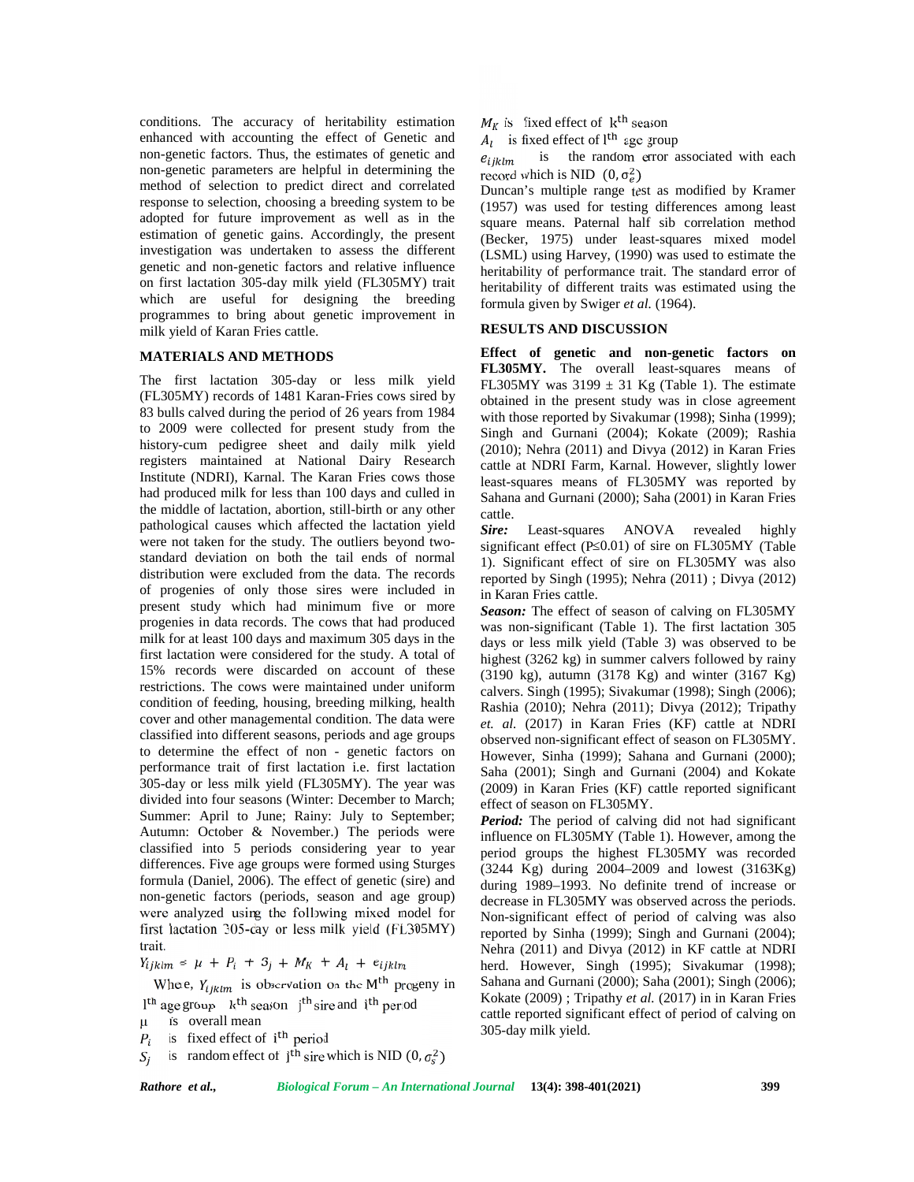conditions. The accuracy of heritability estimation enhanced with accounting the effect of Genetic and non-genetic factors. Thus, the estimates of genetic and  $e_{ijklm}$ non-genetic parameters are helpful in determining the method of selection to predict direct and correlated response to selection, choosing a breeding system to be adopted for future improvement as well as in the estimation of genetic gains. Accordingly, the present investigation was undertaken to assess the different genetic and non-genetic factors and relative influence on first lactation 305-day milk yield (FL305MY) trait which are useful for designing the breeding programmes to bring about genetic improvement in milk yield of Karan Fries cattle.

### **MATERIALS AND METHODS**

The first lactation 305-day or less milk yield (FL305MY) records of 1481 Karan-Fries cows sired by 83 bulls calved during the period of 26 years from 1984 to 2009 were collected for present study from the history-cum pedigree sheet and daily milk yield registers maintained at National Dairy Research Institute (NDRI), Karnal. The Karan Fries cows those had produced milk for less than 100 days and culled in the middle of lactation, abortion, still-birth or any other pathological causes which affected the lactation yield  $Sire$ . were not taken for the study. The outliers beyond two standard deviation on both the tail ends of normal distribution were excluded from the data. The records of progenies of only those sires were included in present study which had minimum five or more progenies in data records. The cows that had produced milk for at least 100 days and maximum 305 days in the first lactation were considered for the study. A total of 15% records were discarded on account of these restrictions. The cows were maintained under uniform condition of feeding, housing, breeding milking, health cover and other managemental condition. The data were classified into different seasons, periods and age groups to determine the effect of non - genetic factors on performance trait of first lactation i.e. first lactation 305-day or less milk yield (FL305MY). The year was divided into four seasons (Winter: December to March; Summer: April to June: Rainy: July to September: Autumn: October & November.) The periods were classified into 5 periods considering year to year differences. Five age groups were formed using Sturges formula (Daniel, 2006). The effect of genetic (sire) and non-genetic factors (periods, season and age group) were analyzed using the following mixed model for first lactation 305-day or less milk yield (FL305MY) trait.

 $Y_{ijklm} = \mu + P_i + S_j + M_K + A_l + e_{ijklm}$ 

Where,  $Y_{ijklm}$  is observation on the M<sup>th</sup> progeny in  $l<sup>th</sup>$  age group k<sup>th</sup> season j<sup>th</sup> sire and i<sup>th</sup> period

- µ is overall mean
- $P_i$  is fixed effect of i<sup>th</sup> period
- is random effect of j<sup>th</sup> sire which is NID (0,  $\sigma_s^2$ )  $S_i$

 $M_K$  is fixed effect of  $k^{\text{th}}$  season

 $A_l$  is fixed effect of l<sup>th</sup> age group

is the random error associated with each record which is NID  $(0, \sigma_e^2)$ 

Duncan's multiple range test as modified by Kramer (1957) was used for testing differences among least square means. Paternal half sib correlation method (Becker, 1975) under least-squares mixed model (LSML) using Harvey, (1990) was used to estimate the heritability of performance trait. The standard error of heritability of different traits was estimated using the formula given by Swiger *et al.* (1964).

## **RESULTS AND DISCUSSION**

**Effect of genetic and non-genetic factors on FL305MY.** The overall least-squares means of FL305MY was  $3199 \pm 31$  Kg (Table 1). The estimate obtained in the present study was in close agreement with those reported by Sivakumar (1998); Sinha (1999); Singh and Gurnani (2004); Kokate (2009); Rashia (2010); Nehra (2011) and Divya (2012) in Karan Fries cattle at NDRI Farm, Karnal. However, slightly lower least-squares means of FL305MY was reported by Sahana and Gurnani (2000); Saha (2001) in Karan Fries cattle.

Least-squares ANOVA revealed highly significant effect  $(P_0.01)$  of sire on FL305MY (Table 1). Significant effect of sire on FL305MY was also reported by Singh (1995); Nehra (2011) ; Divya (2012) in Karan Fries cattle.

*Season:* The effect of season of calving on FL305MY was non-significant (Table 1). The first lactation 305 days or less milk yield (Table 3) was observed to be highest (3262 kg) in summer calvers followed by rainy (3190 kg), autumn (3178 Kg) and winter (3167 Kg) calvers. Singh (1995); Sivakumar (1998); Singh (2006); Rashia (2010); Nehra (2011); Divya (2012); Tripathy *et. al.* (2017) in Karan Fries (KF) cattle at NDRI observed non-significant effect of season on FL305MY. However, Sinha (1999); Sahana and Gurnani (2000); Saha (2001); Singh and Gurnani (2004) and Kokate (2009) in Karan Fries (KF) cattle reported significant effect of season on FL305MY.

*Period:* The period of calving did not had significant influence on FL305MY (Table 1). However, among the period groups the highest FL305MY was recorded (3244 Kg) during 2004–2009 and lowest (3163Kg) during 1989–1993. No definite trend of increase or decrease in FL305MY was observed across the periods. Non-significant effect of period of calving was also reported by Sinha (1999); Singh and Gurnani (2004); Nehra (2011) and Divya (2012) in KF cattle at NDRI herd. However, Singh (1995); Sivakumar (1998); Sahana and Gurnani (2000); Saha (2001); Singh (2006); Kokate (2009) ; Tripathy *et al.* (2017) in in Karan Fries cattle reported significant effect of period of calving on 305-day milk yield.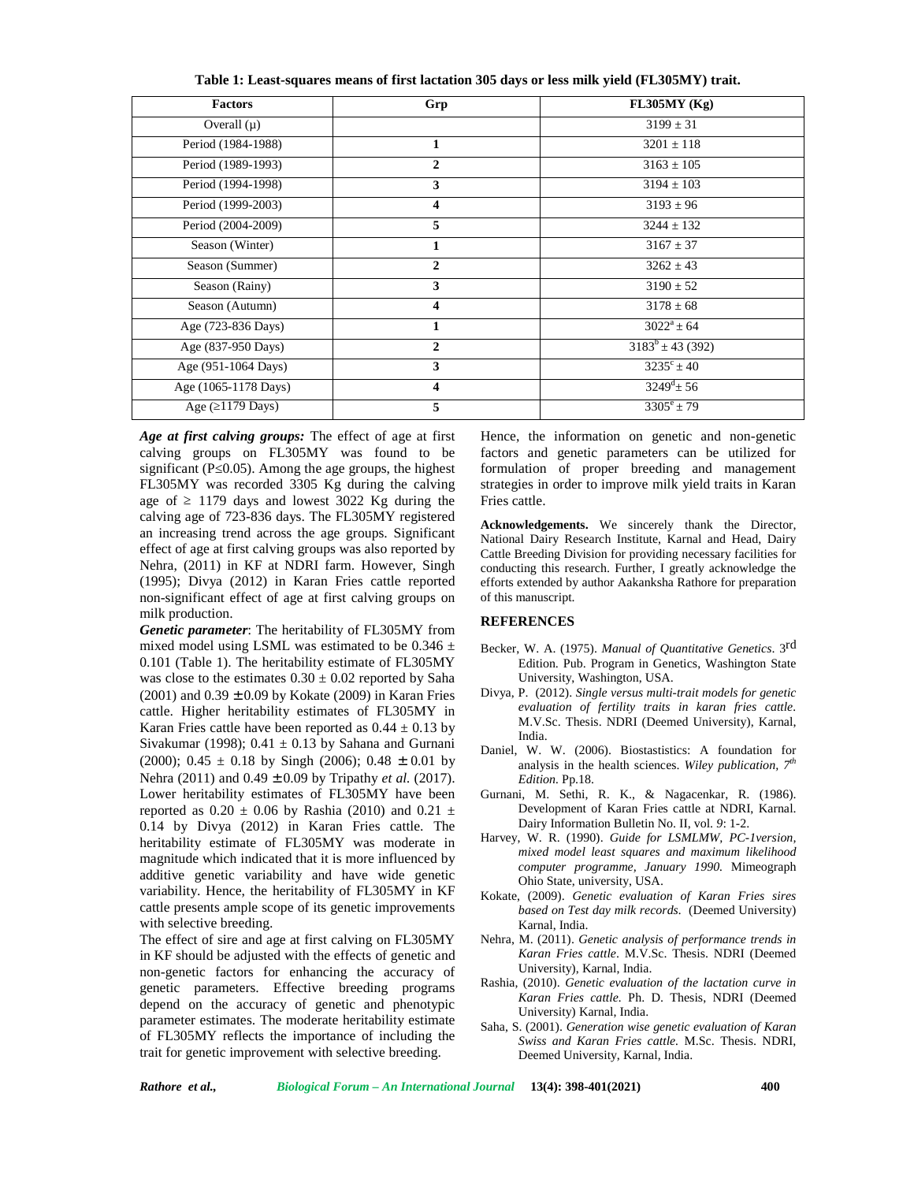| <b>Factors</b>       | Grp                     | FL305MY(Kg)           |
|----------------------|-------------------------|-----------------------|
| Overall $(\mu)$      |                         | $3199 \pm 31$         |
| Period (1984-1988)   | 1                       | $3201 \pm 118$        |
| Period (1989-1993)   | $\mathbf{2}$            | $3163 \pm 105$        |
| Period (1994-1998)   | 3                       | $3194 \pm 103$        |
| Period (1999-2003)   | $\overline{\mathbf{4}}$ | $3193 \pm 96$         |
| Period (2004-2009)   | 5                       | $3244 \pm 132$        |
| Season (Winter)      | 1                       | $3167 \pm 37$         |
| Season (Summer)      | $\mathbf{2}$            | $3262 \pm 43$         |
| Season (Rainy)       | 3                       | $3190 \pm 52$         |
| Season (Autumn)      | 4                       | $3178 \pm 68$         |
| Age (723-836 Days)   | 1                       | $3022^a \pm 64$       |
| Age (837-950 Days)   | $\mathfrak{D}$          | $3183^b \pm 43(392)$  |
| Age (951-1064 Days)  | 3                       | $3235^{\circ} \pm 40$ |
| Age (1065-1178 Days) | $\overline{\mathbf{4}}$ | $3249^d \pm 56$       |
| Age (1179 Days)      | 5                       | $3305^e \pm 79$       |

**Table 1: Least-squares means of first lactation 305 days or less milk yield (FL305MY) trait.**

*Age at first calving groups:* The effect of age at first calving groups on FL305MY was found to be significant (P $\,$ 0.05). Among the age groups, the highest FL305MY was recorded 3305 Kg during the calving age of 1179 days and lowest 3022 Kg during the calving age of 723-836 days. The FL305MY registered an increasing trend across the age groups. Significant effect of age at first calving groups was also reported by Nehra, (2011) in KF at NDRI farm. However, Singh (1995); Divya (2012) in Karan Fries cattle reported non-significant effect of age at first calving groups on milk production.

*Genetic parameter*: The heritability of FL305MY from mixed model using LSML was estimated to be  $0.346 \pm$ 0.101 (Table 1). The heritability estimate of FL305MY was close to the estimates  $0.30 \pm 0.02$  reported by Saha (2001) and  $0.39 \pm 0.09$  by Kokate (2009) in Karan Fries cattle. Higher heritability estimates of FL305MY in Karan Fries cattle have been reported as  $0.44 \pm 0.13$  by Sivakumar (1998);  $0.41 \pm 0.13$  by Sahana and Gurnani (2000);  $0.45 \pm 0.18$  by Singh (2006);  $0.48 \pm 0.01$  by Nehra (2011) and 0.49 ± 0.09 by Tripathy *et al.* (2017). Lower heritability estimates of FL305MY have been reported as  $0.20 \pm 0.06$  by Rashia (2010) and  $0.21 \pm$ 0.14 by Divya (2012) in Karan Fries cattle. The heritability estimate of FL305MY was moderate in magnitude which indicated that it is more influenced by additive genetic variability and have wide genetic variability. Hence, the heritability of FL305MY in KF cattle presents ample scope of its genetic improvements with selective breeding.

The effect of sire and age at first calving on FL305MY in KF should be adjusted with the effects of genetic and non-genetic factors for enhancing the accuracy of genetic parameters. Effective breeding programs depend on the accuracy of genetic and phenotypic parameter estimates. The moderate heritability estimate of FL305MY reflects the importance of including the trait for genetic improvement with selective breeding.

Hence, the information on genetic and non-genetic factors and genetic parameters can be utilized for formulation of proper breeding and management strategies in order to improve milk yield traits in Karan Fries cattle.

**Acknowledgements.** We sincerely thank the Director, National Dairy Research Institute, Karnal and Head, Dairy Cattle Breeding Division for providing necessary facilities for conducting this research. Further, I greatly acknowledge the efforts extended by author Aakanksha Rathore for preparation of this manuscript.

#### **REFERENCES**

- Becker, W. A. (1975). *Manual of Quantitative Genetics*. 3rd Edition. Pub. Program in Genetics, Washington State University, Washington, USA.
- Divya, P. (2012). *Single versus multi-trait models for genetic evaluation of fertility traits in karan fries cattle.* M.V.Sc. Thesis. NDRI (Deemed University), Karnal, India.
- Daniel, W. W. (2006). Biostastistics: A foundation for analysis in the health sciences. *Wiley publication, 7th Edition.* Pp.18.
- Gurnani, M. Sethi, R. K., & Nagacenkar, R. (1986). Development of Karan Fries cattle at NDRI, Karnal. Dairy Information Bulletin No. II, vol. *9*: 1-2.
- Harvey, W. R. (1990). *Guide for LSMLMW, PC-1version, mixed model least squares and maximum likelihood computer programme, January 1990.* Mimeograph Ohio State, university, USA.
- Kokate, (2009). *Genetic evaluation of Karan Fries sires based on Test day milk records.* (Deemed University) Karnal, India.
- Nehra, M. (2011). *Genetic analysis of performance trends in Karan Fries cattle*. M.V.Sc. Thesis. NDRI (Deemed University), Karnal, India.
- Rashia, (2010). *Genetic evaluation of the lactation curve in Karan Fries cattle.* Ph. D. Thesis, NDRI (Deemed University) Karnal, India.
- Saha, S. (2001). *Generation wise genetic evaluation of Karan Swiss and Karan Fries cattle.* M.Sc. Thesis. NDRI, Deemed University, Karnal, India.

*Rathore et al., Biological Forum – An International Journal* **13(4): 398-401(2021) 400**